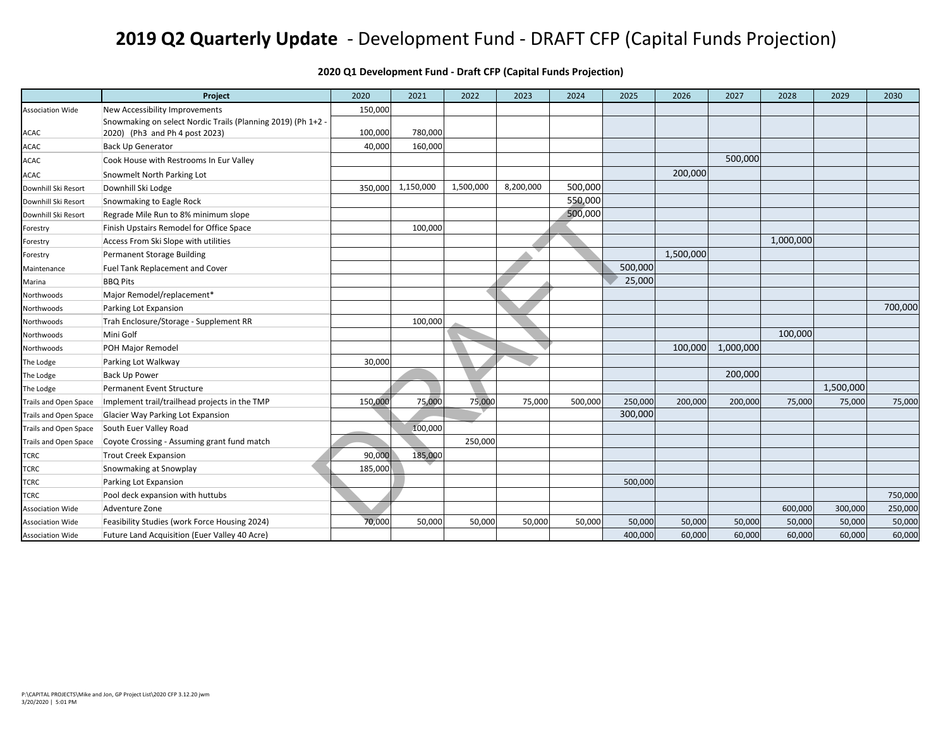## **2019 Q2 Quarterly Update** ‐ Development Fund ‐ DRAFT CFP (Capital Funds Projection)

## **2020 Q1 Development Fund ‐ Draft CFP (Capital Funds Projection)**

|                         | Project                                                      | 2020    | 2021      | 2022      | 2023      | 2024    | 2025    | 2026      | 2027      | 2028      | 2029      | 2030    |
|-------------------------|--------------------------------------------------------------|---------|-----------|-----------|-----------|---------|---------|-----------|-----------|-----------|-----------|---------|
| <b>Association Wide</b> | New Accessibility Improvements                               | 150,000 |           |           |           |         |         |           |           |           |           |         |
|                         | Snowmaking on select Nordic Trails (Planning 2019) (Ph 1+2 - |         |           |           |           |         |         |           |           |           |           |         |
| ACAC                    | 2020) (Ph3 and Ph 4 post 2023)                               | 100,000 | 780,000   |           |           |         |         |           |           |           |           |         |
| <b>ACAC</b>             | <b>Back Up Generator</b>                                     | 40,000  | 160.000   |           |           |         |         |           |           |           |           |         |
| <b>ACAC</b>             | Cook House with Restrooms In Eur Valley                      |         |           |           |           |         |         |           | 500,000   |           |           |         |
| <b>ACAC</b>             | Snowmelt North Parking Lot                                   |         |           |           |           |         |         | 200,000   |           |           |           |         |
| Downhill Ski Resort     | Downhill Ski Lodge                                           | 350,000 | 1,150,000 | 1,500,000 | 8,200,000 | 500,000 |         |           |           |           |           |         |
| Downhill Ski Resort     | Snowmaking to Eagle Rock                                     |         |           |           |           | 550,000 |         |           |           |           |           |         |
| Downhill Ski Resort     | Regrade Mile Run to 8% minimum slope                         |         |           |           |           | 500,000 |         |           |           |           |           |         |
| Forestry                | Finish Upstairs Remodel for Office Space                     |         | 100,000   |           |           |         |         |           |           |           |           |         |
| Forestry                | Access From Ski Slope with utilities                         |         |           |           |           |         |         |           |           | 1,000,000 |           |         |
| Forestry                | Permanent Storage Building                                   |         |           |           |           |         |         | 1,500,000 |           |           |           |         |
| Maintenance             | <b>Fuel Tank Replacement and Cover</b>                       |         |           |           |           |         | 500,000 |           |           |           |           |         |
| Marina                  | <b>BBQ Pits</b>                                              |         |           |           |           |         | 25,000  |           |           |           |           |         |
| Northwoods              | Major Remodel/replacement*                                   |         |           |           |           |         |         |           |           |           |           |         |
| Northwoods              | Parking Lot Expansion                                        |         |           |           |           |         |         |           |           |           |           | 700,000 |
| Northwoods              | Trah Enclosure/Storage - Supplement RR                       |         | 100,000   |           |           |         |         |           |           |           |           |         |
| Northwoods              | Mini Golf                                                    |         |           |           |           |         |         |           |           | 100,000   |           |         |
| Northwoods              | POH Major Remodel                                            |         |           |           |           |         |         | 100,000   | 1,000,000 |           |           |         |
| The Lodge               | Parking Lot Walkway                                          | 30,000  |           |           |           |         |         |           |           |           |           |         |
| The Lodge               | <b>Back Up Power</b>                                         |         |           |           |           |         |         |           | 200,000   |           |           |         |
| The Lodge               | Permanent Event Structure                                    |         |           |           |           |         |         |           |           |           | 1,500,000 |         |
| Trails and Open Space   | Implement trail/trailhead projects in the TMP                | 150,000 | 75,000    | 75,000    | 75,000    | 500,000 | 250,000 | 200,000   | 200,000   | 75,000    | 75,000    | 75,000  |
| Trails and Open Space   | Glacier Way Parking Lot Expansion                            |         |           |           |           |         | 300,000 |           |           |           |           |         |
| Trails and Open Space   | South Euer Valley Road                                       |         | 100,000   |           |           |         |         |           |           |           |           |         |
| Trails and Open Space   | Coyote Crossing - Assuming grant fund match                  |         |           | 250,000   |           |         |         |           |           |           |           |         |
| <b>TCRC</b>             | <b>Trout Creek Expansion</b>                                 | 90,000  | 185,000   |           |           |         |         |           |           |           |           |         |
| <b>TCRC</b>             | Snowmaking at Snowplay                                       | 185,000 |           |           |           |         |         |           |           |           |           |         |
| <b>TCRC</b>             | Parking Lot Expansion                                        |         |           |           |           |         | 500,000 |           |           |           |           |         |
| <b>TCRC</b>             | Pool deck expansion with huttubs                             |         |           |           |           |         |         |           |           |           |           | 750,000 |
| <b>Association Wide</b> | Adventure Zone                                               |         |           |           |           |         |         |           |           | 600,000   | 300,000   | 250,000 |
| <b>Association Wide</b> | Feasibility Studies (work Force Housing 2024)                | 70,000  | 50,000    | 50,000    | 50,000    | 50,000  | 50,000  | 50,000    | 50,000    | 50,000    | 50,000    | 50,000  |
| <b>Association Wide</b> | Future Land Acquisition (Euer Valley 40 Acre)                |         |           |           |           |         | 400,000 | 60,000    | 60,000    | 60,000    | 60,000    | 60,000  |